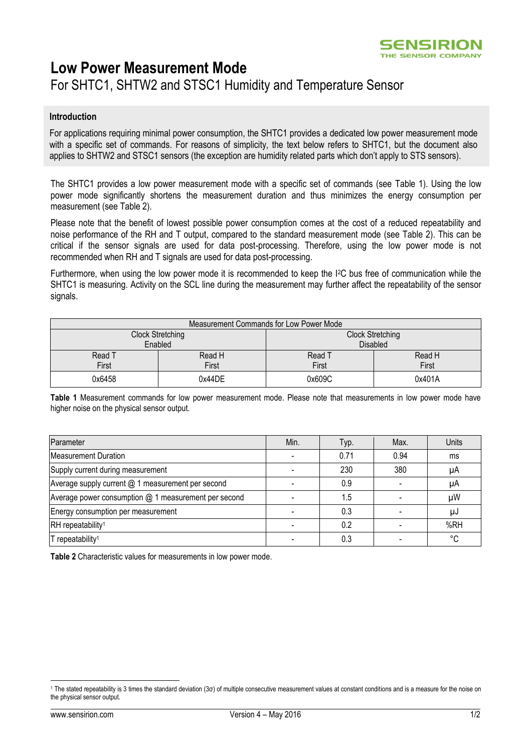

# **Low Power Measurement Mode**

## For SHTC1, SHTW2 and STSC1 Humidity and Temperature Sensor

#### **Introduction**

For applications requiring minimal power consumption, the SHTC1 provides a dedicated low power measurement mode with a specific set of commands. For reasons of simplicity, the text below refers to SHTC1, but the document also applies to SHTW2 and STSC1 sensors (the exception are humidity related parts which don't apply to STS sensors).

The SHTC1 provides a low power measurement mode with a specific set of commands (see [Table 1\)](#page-0-0). Using the low power mode significantly shortens the measurement duration and thus minimizes the energy consumption per measurement (see [Table 2\)](#page-0-1).

Please note that the benefit of lowest possible power consumption comes at the cost of a reduced repeatability and noise performance of the RH and T output, compared to the standard measurement mode (see [Table 2\)](#page-0-1). This can be critical if the sensor signals are used for data post-processing. Therefore, using the low power mode is not recommended when RH and T signals are used for data post-processing.

Furthermore, when using the low power mode it is recommended to keep the I2C bus free of communication while the SHTC1 is measuring. Activity on the SCL line during the measurement may further affect the repeatability of the sensor signals.

| Measurement Commands for Low Power Mode |        |                         |        |  |  |  |
|-----------------------------------------|--------|-------------------------|--------|--|--|--|
| Clock Stretching                        |        | <b>Clock Stretching</b> |        |  |  |  |
| Enabled                                 |        | <b>Disabled</b>         |        |  |  |  |
| Read T                                  | Read H | Read T                  | Read H |  |  |  |
| First                                   | First  | First                   | First  |  |  |  |
| 0x6458                                  | 0x44DE | 0x609C                  | 0x401A |  |  |  |

<span id="page-0-0"></span>**Table 1** Measurement commands for low power measurement mode. Please note that measurements in low power mode have higher noise on the physical sensor output.

| Parameter                                            | Min. | Typ. | Max. | Units |
|------------------------------------------------------|------|------|------|-------|
| Measurement Duration                                 |      | 0.71 | 0.94 | ms    |
| Supply current during measurement                    |      | 230  | 380  | μA    |
| Average supply current @ 1 measurement per second    |      | 0.9  |      | μA    |
| Average power consumption @ 1 measurement per second |      | 1.5  |      | μW    |
| Energy consumption per measurement                   |      | 0.3  |      | μJ    |
| RH repeatability <sup>1</sup>                        |      | 0.2  |      | %RH   |
| T repeatability <sup>1</sup>                         |      | 0.3  |      | °C    |

<span id="page-0-2"></span><span id="page-0-1"></span>**Table 2** Characteristic values for measurements in low power mode.

-

<sup>1</sup> The stated repeatability is 3 times the standard deviation (3σ) of multiple consecutive measurement values at constant conditions and is a measure for the noise on the physical sensor output.